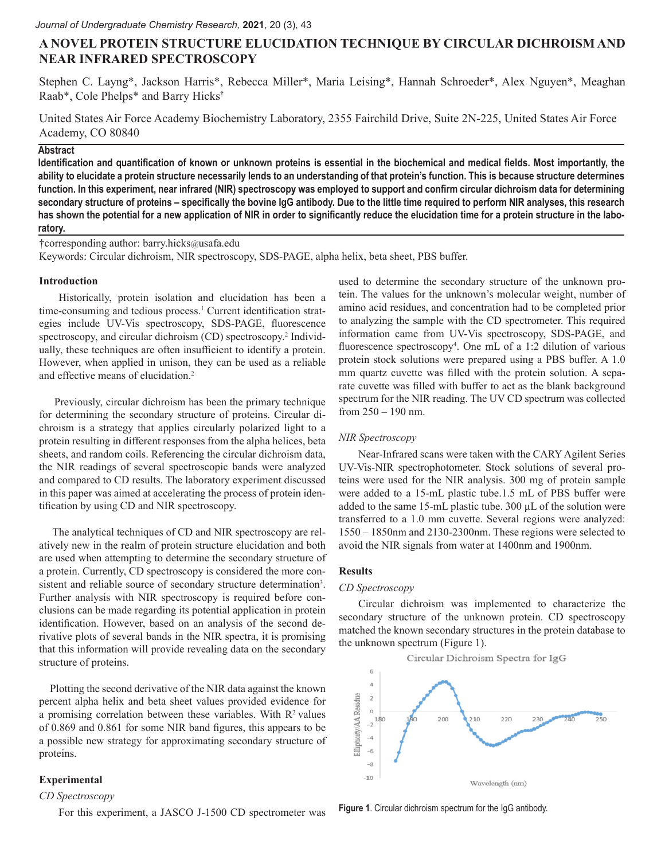# **A NOVEL PROTEIN STRUCTURE ELUCIDATION TECHNIQUE BY CIRCULAR DICHROISM AND NEAR INFRARED SPECTROSCOPY**

Stephen C. Layng\*, Jackson Harris\*, Rebecca Miller\*, Maria Leising\*, Hannah Schroeder\*, Alex Nguyen\*, Meaghan Raab\*, Cole Phelps\* and Barry Hicks†

United States Air Force Academy Biochemistry Laboratory, 2355 Fairchild Drive, Suite 2N-225, United States Air Force Academy, CO 80840

# **Abstract**

**Identification and quantification of known or unknown proteins is essential in the biochemical and medical fields. Most importantly, the ability to elucidate a protein structure necessarily lends to an understanding of that protein's function. This is because structure determines function. In this experiment, near infrared (NIR) spectroscopy was employed to support and confirm circular dichroism data for determining secondary structure of proteins – specifically the bovine IgG antibody. Due to the little time required to perform NIR analyses, this research has shown the potential for a new application of NIR in order to significantly reduce the elucidation time for a protein structure in the laboratory.**

†corresponding author: barry.hicks@usafa.edu

Keywords: Circular dichroism, NIR spectroscopy, SDS-PAGE, alpha helix, beta sheet, PBS buffer.

# **Introduction**

Historically, protein isolation and elucidation has been a time-consuming and tedious process.<sup>1</sup> Current identification strategies include UV-Vis spectroscopy, SDS-PAGE, fluorescence spectroscopy, and circular dichroism (CD) spectroscopy.<sup>2</sup> Individually, these techniques are often insufficient to identify a protein. However, when applied in unison, they can be used as a reliable and effective means of elucidation.<sup>2</sup>

 Previously, circular dichroism has been the primary technique for determining the secondary structure of proteins. Circular dichroism is a strategy that applies circularly polarized light to a protein resulting in different responses from the alpha helices, beta sheets, and random coils. Referencing the circular dichroism data, the NIR readings of several spectroscopic bands were analyzed and compared to CD results. The laboratory experiment discussed in this paper was aimed at accelerating the process of protein identification by using CD and NIR spectroscopy.

 The analytical techniques of CD and NIR spectroscopy are relatively new in the realm of protein structure elucidation and both are used when attempting to determine the secondary structure of a protein. Currently, CD spectroscopy is considered the more consistent and reliable source of secondary structure determination<sup>3</sup>. Further analysis with NIR spectroscopy is required before conclusions can be made regarding its potential application in protein identification. However, based on an analysis of the second derivative plots of several bands in the NIR spectra, it is promising that this information will provide revealing data on the secondary structure of proteins.

 Plotting the second derivative of the NIR data against the known percent alpha helix and beta sheet values provided evidence for a promising correlation between these variables. With  $R<sup>2</sup>$  values of 0.869 and 0.861 for some NIR band figures, this appears to be a possible new strategy for approximating secondary structure of proteins.

# **Experimental**

#### *CD Spectroscopy*

For this experiment, a JASCO J-1500 CD spectrometer was

used to determine the secondary structure of the unknown protein. The values for the unknown's molecular weight, number of amino acid residues, and concentration had to be completed prior to analyzing the sample with the CD spectrometer. This required information came from UV-Vis spectroscopy, SDS-PAGE, and fluorescence spectroscopy<sup>4</sup>. One mL of a 1:2 dilution of various protein stock solutions were prepared using a PBS buffer. A 1.0 mm quartz cuvette was filled with the protein solution. A separate cuvette was filled with buffer to act as the blank background spectrum for the NIR reading. The UV CD spectrum was collected from 250 – 190 nm.

# *NIR Spectroscopy*

Near-Infrared scans were taken with the CARY Agilent Series UV-Vis-NIR spectrophotometer. Stock solutions of several proteins were used for the NIR analysis. 300 mg of protein sample were added to a 15-mL plastic tube.1.5 mL of PBS buffer were added to the same 15-mL plastic tube. 300 µL of the solution were transferred to a 1.0 mm cuvette. Several regions were analyzed: 1550 – 1850nm and 2130-2300nm. These regions were selected to avoid the NIR signals from water at 1400nm and 1900nm.

# **Results**

# *CD Spectroscopy*

Circular dichroism was implemented to characterize the secondary structure of the unknown protein. CD spectroscopy matched the known secondary structures in the protein database to the unknown spectrum (Figure 1).



**Figure 1**. Circular dichroism spectrum for the IgG antibody.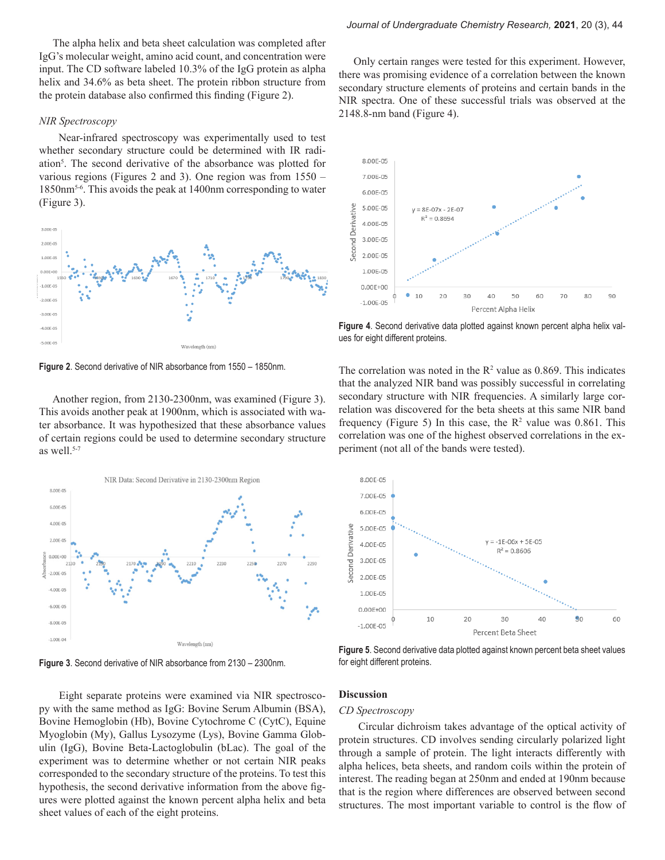The alpha helix and beta sheet calculation was completed after IgG's molecular weight, amino acid count, and concentration were input. The CD software labeled 10.3% of the IgG protein as alpha helix and 34.6% as beta sheet. The protein ribbon structure from the protein database also confirmed this finding (Figure 2).

#### *NIR Spectroscopy*

Near-infrared spectroscopy was experimentally used to test whether secondary structure could be determined with IR radiation<sup>5</sup>. The second derivative of the absorbance was plotted for various regions (Figures 2 and 3). One region was from 1550 – 1850nm5-6. This avoids the peak at 1400nm corresponding to water (Figure 3).



**Figure 2**. Second derivative of NIR absorbance from 1550 – 1850nm.

 Another region, from 2130-2300nm, was examined (Figure 3). This avoids another peak at 1900nm, which is associated with water absorbance. It was hypothesized that these absorbance values of certain regions could be used to determine secondary structure as well. $5-7$ 



**Figure 3**. Second derivative of NIR absorbance from 2130 – 2300nm.

 Only certain ranges were tested for this experiment. However, there was promising evidence of a correlation between the known secondary structure elements of proteins and certain bands in the NIR spectra. One of these successful trials was observed at the 2148.8-nm band (Figure 4).



**Figure 4**. Second derivative data plotted against known percent alpha helix values for eight different proteins.

The correlation was noted in the  $R^2$  value as 0.869. This indicates that the analyzed NIR band was possibly successful in correlating secondary structure with NIR frequencies. A similarly large correlation was discovered for the beta sheets at this same NIR band frequency (Figure 5) In this case, the  $R^2$  value was 0.861. This correlation was one of the highest observed correlations in the experiment (not all of the bands were tested).



**Figure 5**. Second derivative data plotted against known percent beta sheet values for eight different proteins.

 Eight separate proteins were examined via NIR spectroscopy with the same method as IgG: Bovine Serum Albumin (BSA), Bovine Hemoglobin (Hb), Bovine Cytochrome C (CytC), Equine Myoglobin (My), Gallus Lysozyme (Lys), Bovine Gamma Globulin (IgG), Bovine Beta-Lactoglobulin (bLac). The goal of the experiment was to determine whether or not certain NIR peaks corresponded to the secondary structure of the proteins. To test this hypothesis, the second derivative information from the above figures were plotted against the known percent alpha helix and beta sheet values of each of the eight proteins.

# **Discussion**

# *CD Spectroscopy*

Circular dichroism takes advantage of the optical activity of protein structures. CD involves sending circularly polarized light through a sample of protein. The light interacts differently with alpha helices, beta sheets, and random coils within the protein of interest. The reading began at 250nm and ended at 190nm because that is the region where differences are observed between second structures. The most important variable to control is the flow of